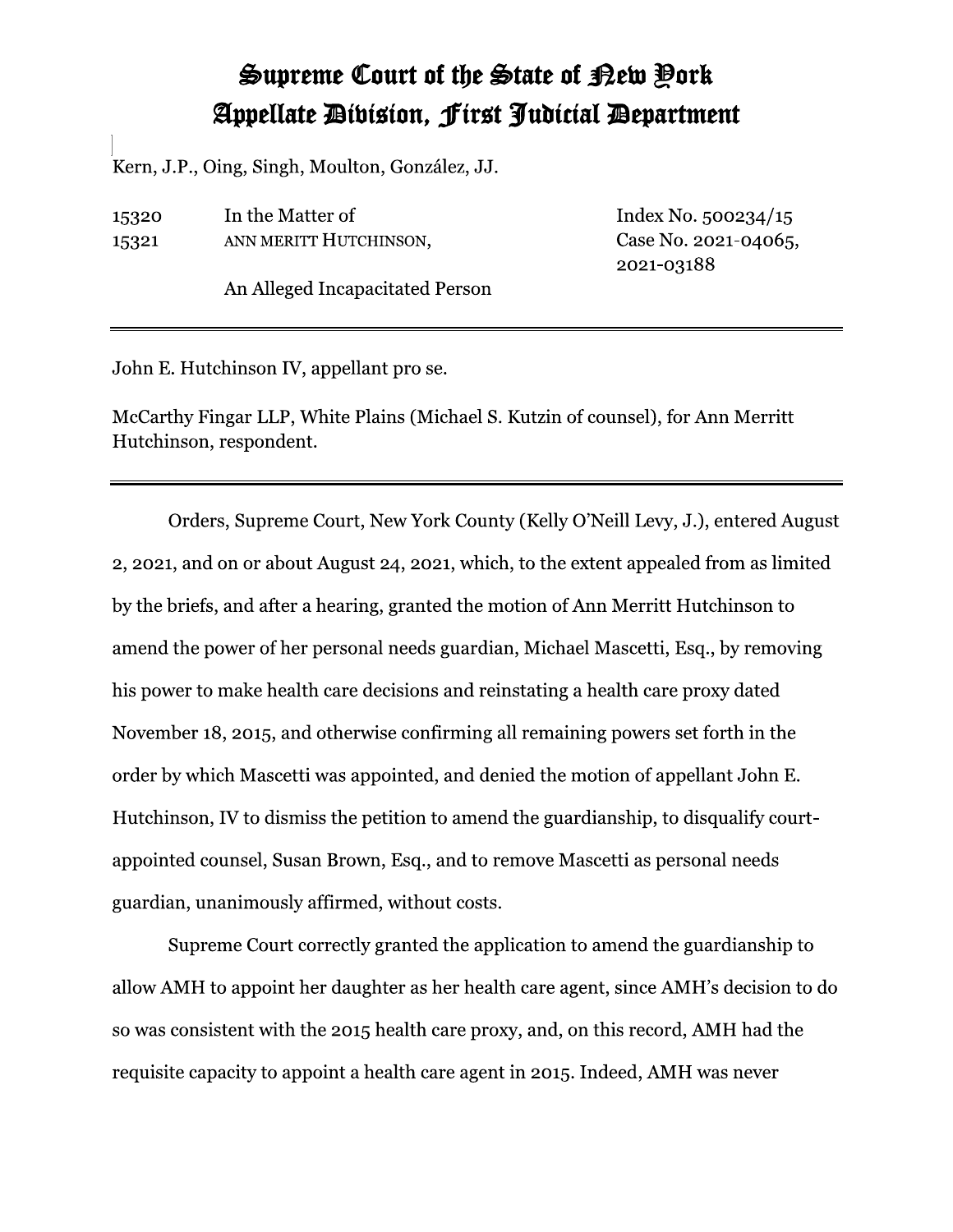## Supreme Court of the State of Rew Pork Appellate Dibision, First Judicial Department

Kern, J.P., Oing, Singh, Moulton, González, JJ.

In the Matter of 15320 ANN MERITT HUTCHINSON, 15321

Index No. 500234/15 Case No. 2021-04065, 2021-03188

An Alleged Incapacitated Person

John E. Hutchinson IV, appellant pro se.

McCarthy Fingar LLP, White Plains (Michael S. Kutzin of counsel), for Ann Merritt Hutchinson, respondent.

Orders, Supreme Court, New York County (Kelly O'Neill Levy, J.), entered August 2, 2021, and on or about August 24, 2021, which, to the extent appealed from as limited by the briefs, and after a hearing, granted the motion of Ann Merritt Hutchinson to amend the power of her personal needs guardian, Michael Mascetti, Esq., by removing his power to make health care decisions and reinstating a health care proxy dated November 18, 2015, and otherwise confirming all remaining powers set forth in the order by which Mascetti was appointed, and denied the motion of appellant John E. Hutchinson, IV to dismiss the petition to amend the guardianship, to disqualify courtappointed counsel, Susan Brown, Esq., and to remove Mascetti as personal needs guardian, unanimously affirmed, without costs.

Supreme Court correctly granted the application to amend the guardianship to allow AMH to appoint her daughter as her health care agent, since AMH's decision to do so was consistent with the 2015 health care proxy, and, on this record, AMH had the requisite capacity to appoint a health care agent in 2015. Indeed, AMH was never